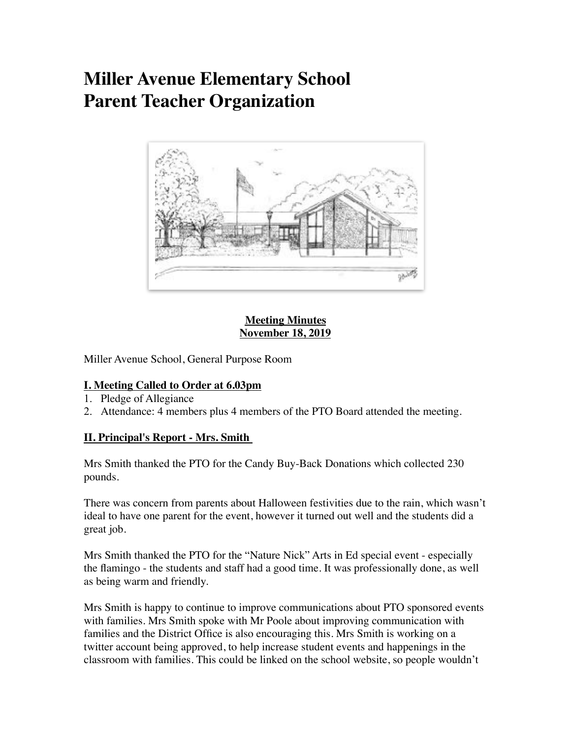# **Miller Avenue Elementary School Parent Teacher Organization**



#### **Meeting Minutes November 18, 2019**

Miller Avenue School, General Purpose Room

### **I. Meeting Called to Order at 6.03pm**

- 1. Pledge of Allegiance
- 2. Attendance: 4 members plus 4 members of the PTO Board attended the meeting.

## **II. Principal's Report - Mrs. Smith**

Mrs Smith thanked the PTO for the Candy Buy-Back Donations which collected 230 pounds.

There was concern from parents about Halloween festivities due to the rain, which wasn't ideal to have one parent for the event, however it turned out well and the students did a great job.

Mrs Smith thanked the PTO for the "Nature Nick" Arts in Ed special event - especially the flamingo - the students and staff had a good time. It was professionally done, as well as being warm and friendly.

Mrs Smith is happy to continue to improve communications about PTO sponsored events with families. Mrs Smith spoke with Mr Poole about improving communication with families and the District Office is also encouraging this. Mrs Smith is working on a twitter account being approved, to help increase student events and happenings in the classroom with families. This could be linked on the school website, so people wouldn't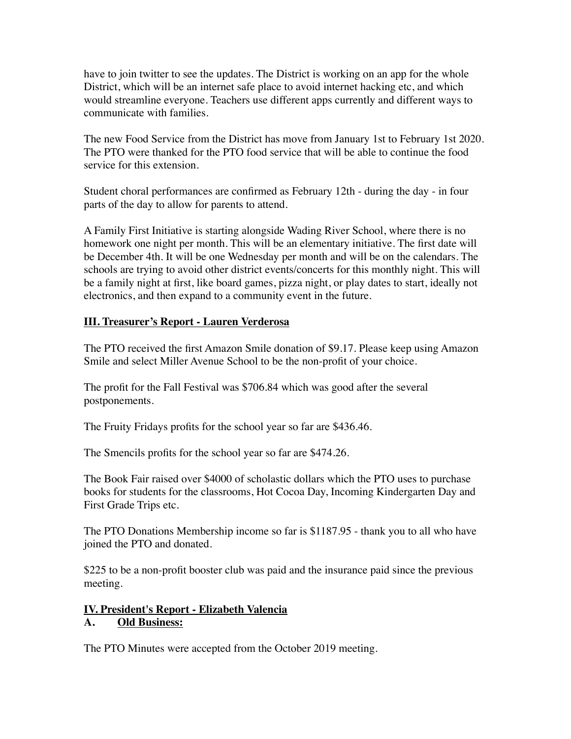have to join twitter to see the updates. The District is working on an app for the whole District, which will be an internet safe place to avoid internet hacking etc, and which would streamline everyone. Teachers use different apps currently and different ways to communicate with families.

The new Food Service from the District has move from January 1st to February 1st 2020. The PTO were thanked for the PTO food service that will be able to continue the food service for this extension.

Student choral performances are confirmed as February 12th - during the day - in four parts of the day to allow for parents to attend.

A Family First Initiative is starting alongside Wading River School, where there is no homework one night per month. This will be an elementary initiative. The first date will be December 4th. It will be one Wednesday per month and will be on the calendars. The schools are trying to avoid other district events/concerts for this monthly night. This will be a family night at first, like board games, pizza night, or play dates to start, ideally not electronics, and then expand to a community event in the future.

### **III. Treasurer's Report - Lauren Verderosa**

The PTO received the first Amazon Smile donation of \$9.17. Please keep using Amazon Smile and select Miller Avenue School to be the non-profit of your choice.

The profit for the Fall Festival was \$706.84 which was good after the several postponements.

The Fruity Fridays profits for the school year so far are \$436.46.

The Smencils profits for the school year so far are \$474.26.

The Book Fair raised over \$4000 of scholastic dollars which the PTO uses to purchase books for students for the classrooms, Hot Cocoa Day, Incoming Kindergarten Day and First Grade Trips etc.

The PTO Donations Membership income so far is \$1187.95 - thank you to all who have joined the PTO and donated.

\$225 to be a non-profit booster club was paid and the insurance paid since the previous meeting.

### **IV. President's Report - Elizabeth Valencia**

### **A. Old Business:**

The PTO Minutes were accepted from the October 2019 meeting.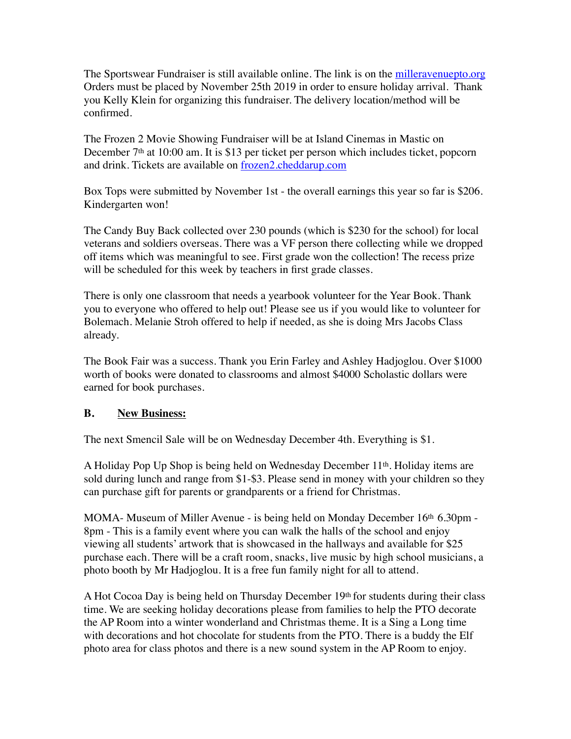The Sportswear Fundraiser is still available online. The link is on the [milleravenuepto.org](http://milleravenuepto.org) Orders must be placed by November 25th 2019 in order to ensure holiday arrival. Thank you Kelly Klein for organizing this fundraiser. The delivery location/method will be confirmed.

The Frozen 2 Movie Showing Fundraiser will be at Island Cinemas in Mastic on December 7th at 10:00 am. It is \$13 per ticket per person which includes ticket, popcorn and drink. Tickets are available on [frozen2.cheddarup.com](http://frozen2.cheddarup.com)

Box Tops were submitted by November 1st - the overall earnings this year so far is \$206. Kindergarten won!

The Candy Buy Back collected over 230 pounds (which is \$230 for the school) for local veterans and soldiers overseas. There was a VF person there collecting while we dropped off items which was meaningful to see. First grade won the collection! The recess prize will be scheduled for this week by teachers in first grade classes.

There is only one classroom that needs a yearbook volunteer for the Year Book. Thank you to everyone who offered to help out! Please see us if you would like to volunteer for Bolemach. Melanie Stroh offered to help if needed, as she is doing Mrs Jacobs Class already.

The Book Fair was a success. Thank you Erin Farley and Ashley Hadjoglou. Over \$1000 worth of books were donated to classrooms and almost \$4000 Scholastic dollars were earned for book purchases.

### **B. New Business:**

The next Smencil Sale will be on Wednesday December 4th. Everything is \$1.

A Holiday Pop Up Shop is being held on Wednesday December 11th. Holiday items are sold during lunch and range from \$1-\$3. Please send in money with your children so they can purchase gift for parents or grandparents or a friend for Christmas.

MOMA- Museum of Miller Avenue - is being held on Monday December 16th 6.30pm - 8pm - This is a family event where you can walk the halls of the school and enjoy viewing all students' artwork that is showcased in the hallways and available for \$25 purchase each. There will be a craft room, snacks, live music by high school musicians, a photo booth by Mr Hadjoglou. It is a free fun family night for all to attend.

A Hot Cocoa Day is being held on Thursday December 19th for students during their class time. We are seeking holiday decorations please from families to help the PTO decorate the AP Room into a winter wonderland and Christmas theme. It is a Sing a Long time with decorations and hot chocolate for students from the PTO. There is a buddy the Elf photo area for class photos and there is a new sound system in the AP Room to enjoy.